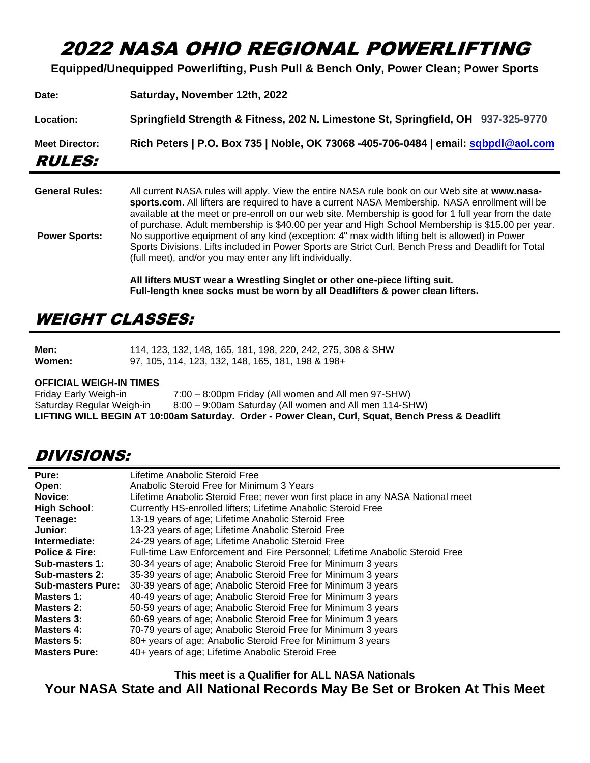# 2022 NASA OHIO REGIONAL POWERLIFTING

**Equipped/Unequipped Powerlifting, Push Pull & Bench Only, Power Clean; Power Sports**

| <b>Meet Director:</b><br><i><b>RULES:</b></i> | Rich Peters   P.O. Box 735   Noble, OK 73068 -405-706-0484   email: sqbpdl@aol.com |
|-----------------------------------------------|------------------------------------------------------------------------------------|
|                                               |                                                                                    |
| Location:                                     | Springfield Strength & Fitness, 202 N. Limestone St, Springfield, OH 937-325-9770  |
| Date:                                         | Saturday, November 12th, 2022                                                      |

**General Rules:** All current NASA rules will apply. View the entire NASA rule book on our Web site at **www.nasasports.com**. All lifters are required to have a current NASA Membership. NASA enrollment will be available at the meet or pre-enroll on our web site. Membership is good for 1 full year from the date of purchase. Adult membership is \$40.00 per year and High School Membership is \$15.00 per year. **Power Sports:** No supportive equipment of any kind (exception: 4" max width lifting belt is allowed) in Power Sports Divisions. Lifts included in Power Sports are Strict Curl, Bench Press and Deadlift for Total (full meet), and/or you may enter any lift individually.

> **All lifters MUST wear a Wrestling Singlet or other one-piece lifting suit. Full-length knee socks must be worn by all Deadlifters & power clean lifters.**

## WEIGHT CLASSES:

| Men:   | 114, 123, 132, 148, 165, 181, 198, 220, 242, 275, 308 & SHW |
|--------|-------------------------------------------------------------|
| Women: | 97, 105, 114, 123, 132, 148, 165, 181, 198 & 198+           |

#### **OFFICIAL WEIGH-IN TIMES**

| Friday Early Weigh-in     | 7:00 – 8:00pm Friday (All women and All men 97-SHW)                                              |
|---------------------------|--------------------------------------------------------------------------------------------------|
| Saturday Regular Weigh-in | 8:00 – 9:00am Saturday (All women and All men 114-SHW)                                           |
|                           | LIFTING WILL BEGIN AT 10:00am Saturday. Order - Power Clean, Curl, Squat, Bench Press & Deadlift |

### DIVISIONS:

| Pure:                     | Lifetime Anabolic Steroid Free                                                  |
|---------------------------|---------------------------------------------------------------------------------|
| Open:                     | Anabolic Steroid Free for Minimum 3 Years                                       |
| Novice:                   | Lifetime Anabolic Steroid Free; never won first place in any NASA National meet |
| <b>High School:</b>       | Currently HS-enrolled lifters; Lifetime Anabolic Steroid Free                   |
| Teenage:                  | 13-19 years of age; Lifetime Anabolic Steroid Free                              |
| Junior:                   | 13-23 years of age; Lifetime Anabolic Steroid Free                              |
| Intermediate:             | 24-29 years of age; Lifetime Anabolic Steroid Free                              |
| <b>Police &amp; Fire:</b> | Full-time Law Enforcement and Fire Personnel; Lifetime Anabolic Steroid Free    |
| Sub-masters 1:            | 30-34 years of age; Anabolic Steroid Free for Minimum 3 years                   |
| Sub-masters 2:            | 35-39 years of age; Anabolic Steroid Free for Minimum 3 years                   |
| <b>Sub-masters Pure:</b>  | 30-39 years of age; Anabolic Steroid Free for Minimum 3 years                   |
| Masters 1:                | 40-49 years of age; Anabolic Steroid Free for Minimum 3 years                   |
| Masters 2:                | 50-59 years of age; Anabolic Steroid Free for Minimum 3 years                   |
| Masters 3:                | 60-69 years of age; Anabolic Steroid Free for Minimum 3 years                   |
| <b>Masters 4:</b>         | 70-79 years of age; Anabolic Steroid Free for Minimum 3 years                   |
| Masters 5:                | 80+ years of age; Anabolic Steroid Free for Minimum 3 years                     |
| <b>Masters Pure:</b>      | 40+ years of age; Lifetime Anabolic Steroid Free                                |

**This meet is a Qualifier for ALL NASA Nationals**

**Your NASA State and All National Records May Be Set or Broken At This Meet**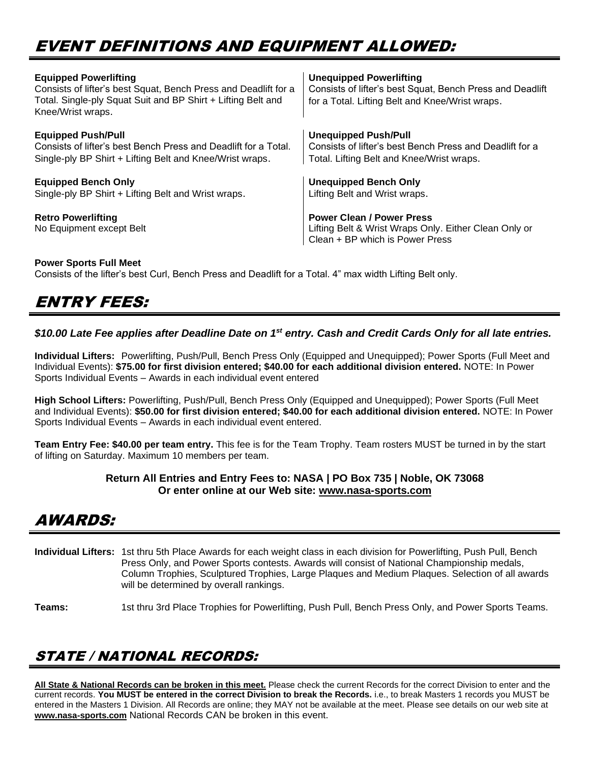# EVENT DEFINITIONS AND EQUIPMENT ALLOWED:

| <b>Equipped Powerlifting</b><br>Consists of lifter's best Squat, Bench Press and Deadlift for a<br>Total. Single-ply Squat Suit and BP Shirt + Lifting Belt and<br>Knee/Wrist wraps. | <b>Unequipped Powerlifting</b><br>Consists of lifter's best Squat, Bench Press and Deadlift<br>for a Total. Lifting Belt and Knee/Wrist wraps. |
|--------------------------------------------------------------------------------------------------------------------------------------------------------------------------------------|------------------------------------------------------------------------------------------------------------------------------------------------|
| <b>Equipped Push/Pull</b>                                                                                                                                                            | <b>Unequipped Push/Pull</b>                                                                                                                    |
| Consists of lifter's best Bench Press and Deadlift for a Total.                                                                                                                      | Consists of lifter's best Bench Press and Deadlift for a                                                                                       |
| Single-ply BP Shirt + Lifting Belt and Knee/Wrist wraps.                                                                                                                             | Total. Lifting Belt and Knee/Wrist wraps.                                                                                                      |
| <b>Equipped Bench Only</b>                                                                                                                                                           | <b>Unequipped Bench Only</b>                                                                                                                   |
| Single-ply BP Shirt + Lifting Belt and Wrist wraps.                                                                                                                                  | Lifting Belt and Wrist wraps.                                                                                                                  |
| <b>Retro Powerlifting</b><br>No Equipment except Belt                                                                                                                                | <b>Power Clean / Power Press</b><br>Lifting Belt & Wrist Wraps Only. Either Clean Only or<br>Clean + BP which is Power Press                   |

#### **Power Sports Full Meet**

Consists of the lifter's best Curl, Bench Press and Deadlift for a Total. 4" max width Lifting Belt only.

# ENTRY FEES:

### *\$10.00 Late Fee applies after Deadline Date on 1st entry. Cash and Credit Cards Only for all late entries.*

**Individual Lifters:** Powerlifting, Push/Pull, Bench Press Only (Equipped and Unequipped); Power Sports (Full Meet and Individual Events): **\$75.00 for first division entered; \$40.00 for each additional division entered.** NOTE: In Power Sports Individual Events – Awards in each individual event entered

**High School Lifters:** Powerlifting, Push/Pull, Bench Press Only (Equipped and Unequipped); Power Sports (Full Meet and Individual Events): **\$50.00 for first division entered; \$40.00 for each additional division entered.** NOTE: In Power Sports Individual Events – Awards in each individual event entered.

**Team Entry Fee: \$40.00 per team entry.** This fee is for the Team Trophy. Team rosters MUST be turned in by the start of lifting on Saturday. Maximum 10 members per team.

#### **Return All Entries and Entry Fees to: NASA | PO Box 735 | Noble, OK 73068 Or enter online at our Web site: [www.nasa-sports.com](http://www.nasa-sports.com/)**

# AWARDS:

**Individual Lifters:** 1st thru 5th Place Awards for each weight class in each division for Powerlifting, Push Pull, Bench Press Only, and Power Sports contests. Awards will consist of National Championship medals, Column Trophies, Sculptured Trophies, Large Plaques and Medium Plaques. Selection of all awards will be determined by overall rankings.

**Teams:** 1st thru 3rd Place Trophies for Powerlifting, Push Pull, Bench Press Only, and Power Sports Teams.

### STATE / NATIONAL RECORDS:

**All State & National Records can be broken in this meet.** Please check the current Records for the correct Division to enter and the current records. **You MUST be entered in the correct Division to break the Records.** i.e., to break Masters 1 records you MUST be entered in the Masters 1 Division. All Records are online; they MAY not be available at the meet. Please see details on our web site at **[www.nasa-sports.com](http://www.nasa-sports.com/)** National Records CAN be broken in this event.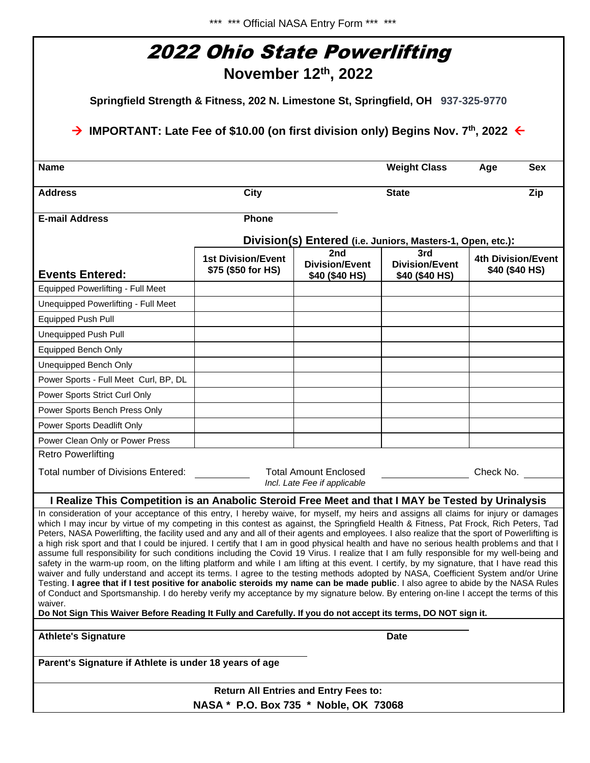| 2022 Ohio State Powerlifting<br>November $12th$ , 2022<br>Springfield Strength & Fitness, 202 N. Limestone St, Springfield, OH 937-325-9770<br>$\rightarrow$ IMPORTANT: Late Fee of \$10.00 (on first division only) Begins Nov. 7 <sup>th</sup> , 2022 $\leftarrow$                                                                                                                                                                                                                                                                                                                                                                                                                                                                                                                                                                                                                                                                                                                                                                                                                                                                                                                                                                                                                                                                                                                                                  |                                                 |                                                              |                                                |                                             |  |  |  |                |             |  |                     |                   |
|-----------------------------------------------------------------------------------------------------------------------------------------------------------------------------------------------------------------------------------------------------------------------------------------------------------------------------------------------------------------------------------------------------------------------------------------------------------------------------------------------------------------------------------------------------------------------------------------------------------------------------------------------------------------------------------------------------------------------------------------------------------------------------------------------------------------------------------------------------------------------------------------------------------------------------------------------------------------------------------------------------------------------------------------------------------------------------------------------------------------------------------------------------------------------------------------------------------------------------------------------------------------------------------------------------------------------------------------------------------------------------------------------------------------------|-------------------------------------------------|--------------------------------------------------------------|------------------------------------------------|---------------------------------------------|--|--|--|----------------|-------------|--|---------------------|-------------------|
|                                                                                                                                                                                                                                                                                                                                                                                                                                                                                                                                                                                                                                                                                                                                                                                                                                                                                                                                                                                                                                                                                                                                                                                                                                                                                                                                                                                                                       |                                                 |                                                              |                                                |                                             |  |  |  | <b>Name</b>    |             |  | <b>Weight Class</b> | <b>Sex</b><br>Age |
|                                                                                                                                                                                                                                                                                                                                                                                                                                                                                                                                                                                                                                                                                                                                                                                                                                                                                                                                                                                                                                                                                                                                                                                                                                                                                                                                                                                                                       |                                                 |                                                              |                                                |                                             |  |  |  | <b>Address</b> | <b>City</b> |  | <b>State</b>        | Zip               |
| <b>E-mail Address</b>                                                                                                                                                                                                                                                                                                                                                                                                                                                                                                                                                                                                                                                                                                                                                                                                                                                                                                                                                                                                                                                                                                                                                                                                                                                                                                                                                                                                 | Phone                                           |                                                              |                                                |                                             |  |  |  |                |             |  |                     |                   |
|                                                                                                                                                                                                                                                                                                                                                                                                                                                                                                                                                                                                                                                                                                                                                                                                                                                                                                                                                                                                                                                                                                                                                                                                                                                                                                                                                                                                                       |                                                 | Division(s) Entered (i.e. Juniors, Masters-1, Open, etc.):   |                                                |                                             |  |  |  |                |             |  |                     |                   |
| <b>Events Entered:</b>                                                                                                                                                                                                                                                                                                                                                                                                                                                                                                                                                                                                                                                                                                                                                                                                                                                                                                                                                                                                                                                                                                                                                                                                                                                                                                                                                                                                | <b>1st Division/Event</b><br>\$75 (\$50 for HS) | 2nd<br><b>Division/Event</b><br>\$40 (\$40 HS)               | 3rd<br><b>Division/Event</b><br>\$40 (\$40 HS) | <b>4th Division/Event</b><br>\$40 (\$40 HS) |  |  |  |                |             |  |                     |                   |
| Equipped Powerlifting - Full Meet                                                                                                                                                                                                                                                                                                                                                                                                                                                                                                                                                                                                                                                                                                                                                                                                                                                                                                                                                                                                                                                                                                                                                                                                                                                                                                                                                                                     |                                                 |                                                              |                                                |                                             |  |  |  |                |             |  |                     |                   |
| Unequipped Powerlifting - Full Meet                                                                                                                                                                                                                                                                                                                                                                                                                                                                                                                                                                                                                                                                                                                                                                                                                                                                                                                                                                                                                                                                                                                                                                                                                                                                                                                                                                                   |                                                 |                                                              |                                                |                                             |  |  |  |                |             |  |                     |                   |
| <b>Equipped Push Pull</b>                                                                                                                                                                                                                                                                                                                                                                                                                                                                                                                                                                                                                                                                                                                                                                                                                                                                                                                                                                                                                                                                                                                                                                                                                                                                                                                                                                                             |                                                 |                                                              |                                                |                                             |  |  |  |                |             |  |                     |                   |
| <b>Unequipped Push Pull</b>                                                                                                                                                                                                                                                                                                                                                                                                                                                                                                                                                                                                                                                                                                                                                                                                                                                                                                                                                                                                                                                                                                                                                                                                                                                                                                                                                                                           |                                                 |                                                              |                                                |                                             |  |  |  |                |             |  |                     |                   |
| Equipped Bench Only                                                                                                                                                                                                                                                                                                                                                                                                                                                                                                                                                                                                                                                                                                                                                                                                                                                                                                                                                                                                                                                                                                                                                                                                                                                                                                                                                                                                   |                                                 |                                                              |                                                |                                             |  |  |  |                |             |  |                     |                   |
| <b>Unequipped Bench Only</b>                                                                                                                                                                                                                                                                                                                                                                                                                                                                                                                                                                                                                                                                                                                                                                                                                                                                                                                                                                                                                                                                                                                                                                                                                                                                                                                                                                                          |                                                 |                                                              |                                                |                                             |  |  |  |                |             |  |                     |                   |
| Power Sports - Full Meet Curl, BP, DL                                                                                                                                                                                                                                                                                                                                                                                                                                                                                                                                                                                                                                                                                                                                                                                                                                                                                                                                                                                                                                                                                                                                                                                                                                                                                                                                                                                 |                                                 |                                                              |                                                |                                             |  |  |  |                |             |  |                     |                   |
| Power Sports Strict Curl Only                                                                                                                                                                                                                                                                                                                                                                                                                                                                                                                                                                                                                                                                                                                                                                                                                                                                                                                                                                                                                                                                                                                                                                                                                                                                                                                                                                                         |                                                 |                                                              |                                                |                                             |  |  |  |                |             |  |                     |                   |
| Power Sports Bench Press Only                                                                                                                                                                                                                                                                                                                                                                                                                                                                                                                                                                                                                                                                                                                                                                                                                                                                                                                                                                                                                                                                                                                                                                                                                                                                                                                                                                                         |                                                 |                                                              |                                                |                                             |  |  |  |                |             |  |                     |                   |
| Power Sports Deadlift Only                                                                                                                                                                                                                                                                                                                                                                                                                                                                                                                                                                                                                                                                                                                                                                                                                                                                                                                                                                                                                                                                                                                                                                                                                                                                                                                                                                                            |                                                 |                                                              |                                                |                                             |  |  |  |                |             |  |                     |                   |
| Power Clean Only or Power Press                                                                                                                                                                                                                                                                                                                                                                                                                                                                                                                                                                                                                                                                                                                                                                                                                                                                                                                                                                                                                                                                                                                                                                                                                                                                                                                                                                                       |                                                 |                                                              |                                                |                                             |  |  |  |                |             |  |                     |                   |
| <b>Retro Powerlifting</b>                                                                                                                                                                                                                                                                                                                                                                                                                                                                                                                                                                                                                                                                                                                                                                                                                                                                                                                                                                                                                                                                                                                                                                                                                                                                                                                                                                                             |                                                 |                                                              |                                                |                                             |  |  |  |                |             |  |                     |                   |
| Total number of Divisions Entered:                                                                                                                                                                                                                                                                                                                                                                                                                                                                                                                                                                                                                                                                                                                                                                                                                                                                                                                                                                                                                                                                                                                                                                                                                                                                                                                                                                                    |                                                 | <b>Total Amount Enclosed</b><br>Incl. Late Fee if applicable |                                                | Check No.                                   |  |  |  |                |             |  |                     |                   |
| I Realize This Competition is an Anabolic Steroid Free Meet and that I MAY be Tested by Urinalysis                                                                                                                                                                                                                                                                                                                                                                                                                                                                                                                                                                                                                                                                                                                                                                                                                                                                                                                                                                                                                                                                                                                                                                                                                                                                                                                    |                                                 |                                                              |                                                |                                             |  |  |  |                |             |  |                     |                   |
| In consideration of your acceptance of this entry, I hereby waive, for myself, my heirs and assigns all claims for injury or damages<br>which I may incur by virtue of my competing in this contest as against, the Springfield Health & Fitness, Pat Frock, Rich Peters, Tad<br>Peters, NASA Powerlifting, the facility used and any and all of their agents and employees. I also realize that the sport of Powerlifting is<br>a high risk sport and that I could be injured. I certify that I am in good physical health and have no serious health problems and that I<br>assume full responsibility for such conditions including the Covid 19 Virus. I realize that I am fully responsible for my well-being and<br>safety in the warm-up room, on the lifting platform and while I am lifting at this event. I certify, by my signature, that I have read this<br>waiver and fully understand and accept its terms. I agree to the testing methods adopted by NASA, Coefficient System and/or Urine<br>Testing. I agree that if I test positive for anabolic steroids my name can be made public. I also agree to abide by the NASA Rules<br>of Conduct and Sportsmanship. I do hereby verify my acceptance by my signature below. By entering on-line I accept the terms of this<br>waiver.<br>Do Not Sign This Waiver Before Reading It Fully and Carefully. If you do not accept its terms, DO NOT sign it. |                                                 |                                                              |                                                |                                             |  |  |  |                |             |  |                     |                   |
|                                                                                                                                                                                                                                                                                                                                                                                                                                                                                                                                                                                                                                                                                                                                                                                                                                                                                                                                                                                                                                                                                                                                                                                                                                                                                                                                                                                                                       |                                                 |                                                              |                                                |                                             |  |  |  |                |             |  |                     |                   |
| <b>Athlete's Signature</b>                                                                                                                                                                                                                                                                                                                                                                                                                                                                                                                                                                                                                                                                                                                                                                                                                                                                                                                                                                                                                                                                                                                                                                                                                                                                                                                                                                                            |                                                 |                                                              | <b>Date</b>                                    |                                             |  |  |  |                |             |  |                     |                   |
| Parent's Signature if Athlete is under 18 years of age                                                                                                                                                                                                                                                                                                                                                                                                                                                                                                                                                                                                                                                                                                                                                                                                                                                                                                                                                                                                                                                                                                                                                                                                                                                                                                                                                                |                                                 |                                                              |                                                |                                             |  |  |  |                |             |  |                     |                   |
|                                                                                                                                                                                                                                                                                                                                                                                                                                                                                                                                                                                                                                                                                                                                                                                                                                                                                                                                                                                                                                                                                                                                                                                                                                                                                                                                                                                                                       | NASA * P.O. Box 735 * Noble, OK 73068           | <b>Return All Entries and Entry Fees to:</b>                 |                                                |                                             |  |  |  |                |             |  |                     |                   |